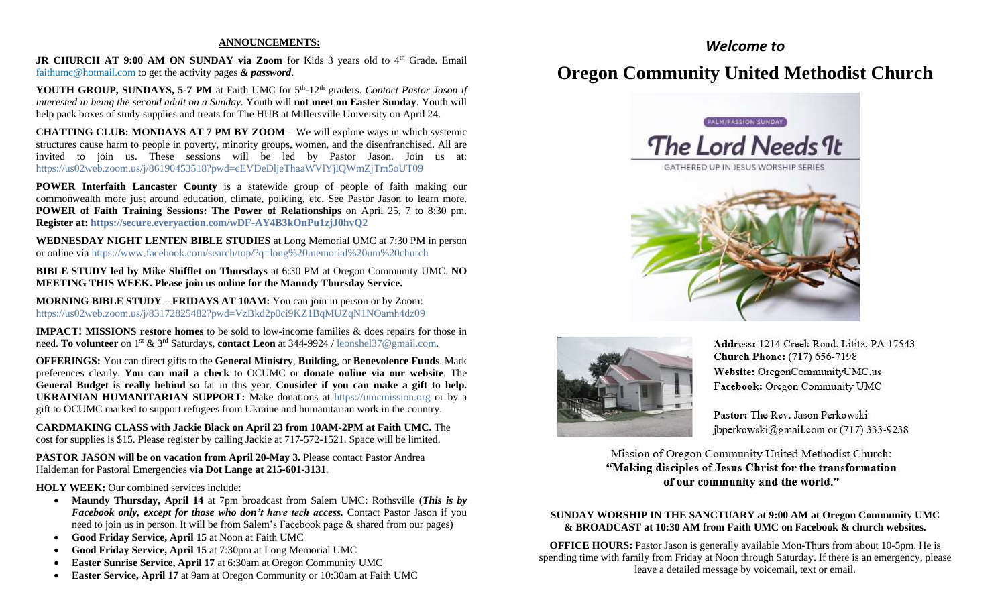#### **ANNOUNCEMENTS:**

**JR CHURCH AT 9:00 AM ON SUNDAY via Zoom** for Kids 3 years old to 4<sup>th</sup> Grade. Email [faithumc@hotmail.com](about:blank) to get the activity pages *& password*.

YOUTH GROUP, SUNDAYS, 5-7 PM at Faith UMC for 5<sup>th</sup>-12<sup>th</sup> graders. *Contact Pastor Jason if interested in being the second adult on a Sunday.* Youth will **not meet on Easter Sunday**. Youth will help pack boxes of study supplies and treats for The HUB at Millersville University on April 24.

**CHATTING CLUB: MONDAYS AT 7 PM BY ZOOM** – We will explore ways in which systemic structures cause harm to people in poverty, minority groups, women, and the disenfranchised. All are invited to join us. These sessions will be led by Pastor Jason. Join us at: [https://us02web.zoom.us/j/86190453518?pwd=cEVDeDljeThaaWVlYjlQWmZjTm5oUT09](about:blank)

**POWER Interfaith Lancaster County** is a statewide group of people of faith making our commonwealth more just around education, climate, policing, etc. See Pastor Jason to learn more. **POWER of Faith Training Sessions: The Power of Relationships** on April 25, 7 to 8:30 pm. **Register at: [https://secure.everyaction.com/wDF-AY4B3kOnPu1zjJ0hvQ2](about:blank)**

**WEDNESDAY NIGHT LENTEN BIBLE STUDIES** at Long Memorial UMC at 7:30 PM in person or online via [https://www.facebook.com/search/top/?q=long%20memorial%20um%20church](about:blank)

**BIBLE STUDY led by Mike Shifflet on Thursdays** at 6:30 PM at Oregon Community UMC. **NO MEETING THIS WEEK. Please join us online for the Maundy Thursday Service.**

**MORNING BIBLE STUDY – FRIDAYS AT 10AM:** You can join in person or by Zoom: [https://us02web.zoom.us/j/83172825482?pwd=VzBkd2p0ci9KZ1BqMUZqN1NOamh4dz09](about:blank)

**IMPACT! MISSIONS restore homes** to be sold to low-income families & does repairs for those in need. **To volunteer** on 1st & 3rd Saturdays, **contact Leon** at 344-9924 / [leonshel37@gmail.com.](about:blank)

**OFFERINGS:** You can direct gifts to the **General Ministry**, **Building**, or **Benevolence Funds**. Mark preferences clearly. **You can mail a check** to OCUMC or **donate online via our website**. The **General Budget is really behind** so far in this year. **Consider if you can make a gift to help. UKRAINIAN HUMANITARIAN SUPPORT:** Make donations at [https://umcmission.org](about:blank) or by a gift to OCUMC marked to support refugees from Ukraine and humanitarian work in the country.

**CARDMAKING CLASS with Jackie Black on April 23 from 10AM-2PM at Faith UMC.** The cost for supplies is \$15. Please register by calling Jackie at 717-572-1521. Space will be limited.

**PASTOR JASON will be on vacation from April 20-May 3.** Please contact Pastor Andrea Haldeman for Pastoral Emergencies **via Dot Lange at 215-601-3131**.

**HOLY WEEK:** Our combined services include:

- **Maundy Thursday, April 14** at 7pm broadcast from Salem UMC: Rothsville (*This is by Facebook only, except for those who don't have tech access.* Contact Pastor Jason if you need to join us in person. It will be from Salem's Facebook page & shared from our pages)
- **Good Friday Service, April 15** at Noon at Faith UMC
- **Good Friday Service, April 15** at 7:30pm at Long Memorial UMC
- **Easter Sunrise Service, April 17** at 6:30am at Oregon Community UMC
- **Easter Service, April 17** at 9am at Oregon Community or 10:30am at Faith UMC

# *Welcome to* **Oregon Community United Methodist Church**





Address: 1214 Creek Road, Lititz, PA 17543 **Church Phone:** (717) 656-7198 Website: OregonCommunityUMC.us Facebook: Oregon Community UMC

Pastor: The Rev. Jason Perkowski jbperkowski@gmail.com or (717) 333-9238

Mission of Oregon Community United Methodist Church: "Making disciples of Jesus Christ for the transformation of our community and the world."

### **SUNDAY WORSHIP IN THE SANCTUARY at 9:00 AM at Oregon Community UMC & BROADCAST at 10:30 AM from Faith UMC on Facebook & church websites.**

**OFFICE HOURS:** Pastor Jason is generally available Mon-Thurs from about 10-5pm. He is spending time with family from Friday at Noon through Saturday. If there is an emergency, please leave a detailed message by voicemail, text or email.